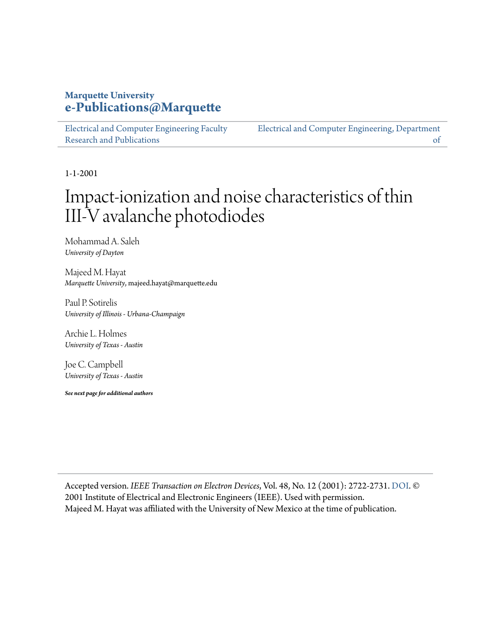## **Marquette University [e-Publications@Marquette](https://epublications.marquette.edu/)**

[Electrical and Computer Engineering Faculty](https://epublications.marquette.edu/electric_fac) [Research and Publications](https://epublications.marquette.edu/electric_fac)

[Electrical and Computer Engineering, Department](https://epublications.marquette.edu/electric) [of](https://epublications.marquette.edu/electric)

1-1-2001

# Impact-ionization and noise characteristics of thin III-V avalanche photodiodes

Mohammad A. Saleh *University of Dayton*

Majeed M. Hayat *Marquette University*, majeed.hayat@marquette.edu

Paul P. Sotirelis *University of Illinois - Urbana-Champaign*

Archie L. Holmes *University of Texas - Austin*

Joe C. Campbell *University of Texas - Austin*

*See next page for additional authors*

Accepted version. *IEEE Transaction on Electron Devices*, Vol. 48, No. 12 (2001): 2722-2731. [DOI.](https://dx.doi.org/10.1109/16.974696) © 2001 Institute of Electrical and Electronic Engineers (IEEE). Used with permission. Majeed M. Hayat was affiliated with the University of New Mexico at the time of publication.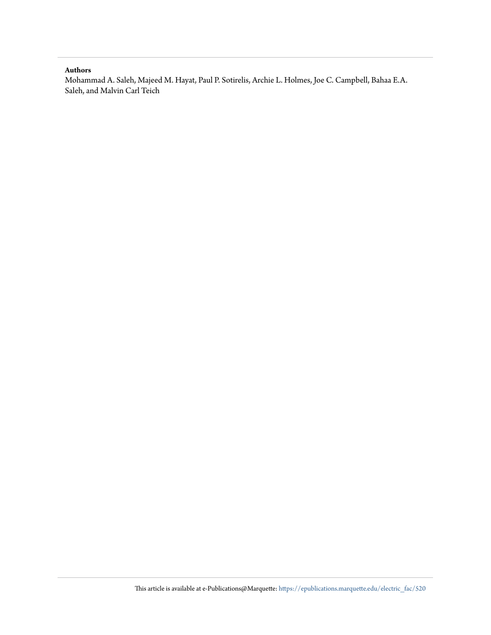#### **Authors**

Mohammad A. Saleh, Majeed M. Hayat, Paul P. Sotirelis, Archie L. Holmes, Joe C. Campbell, Bahaa E.A. Saleh, and Malvin Carl Teich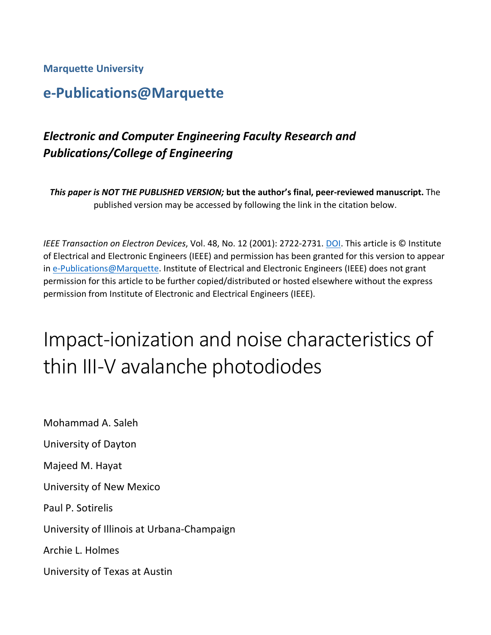**Marquette University**

# **e-Publications@Marquette**

# *Electronic and Computer Engineering Faculty Research and Publications/College of Engineering*

*This paper is NOT THE PUBLISHED VERSION;* **but the author's final, peer-reviewed manuscript.** The published version may be accessed by following the link in the citation below.

*IEEE Transaction on Electron Devices*, Vol. 48, No. 12 (2001): 2722-2731. [DOI.](https://dx.doi.org/10.1109/16.974696) This article is © Institute of Electrical and Electronic Engineers (IEEE) and permission has been granted for this version to appear in [e-Publications@Marquette.](http://epublications.marquette.edu/) Institute of Electrical and Electronic Engineers (IEEE) does not grant permission for this article to be further copied/distributed or hosted elsewhere without the express permission from Institute of Electronic and Electrical Engineers (IEEE).

# Impact-ionization and noise characteristics of thin III-V avalanche photodiodes

Mohammad A. Saleh University of Dayton Majeed M. Hayat University of New Mexico Paul P. Sotirelis University of Illinois at Urbana-Champaign Archie L. Holmes University of Texas at Austin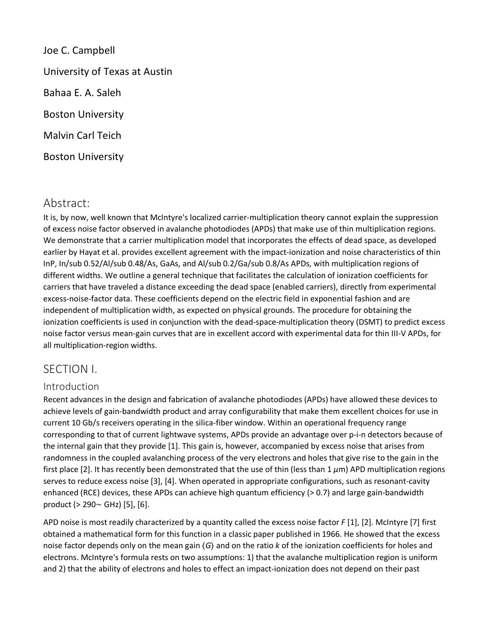Joe C. Campbell University of Texas at Austin Bahaa E. A. Saleh Boston University Malvin Carl Teich Boston University

# Abstract:

It is, by now, well known that McIntyre's localized carrier-multiplication theory cannot explain the suppression of excess noise factor observed in avalanche photodiodes (APDs) that make use of thin multiplication regions. We demonstrate that a carrier multiplication model that incorporates the effects of dead space, as developed earlier by Hayat et al. provides excellent agreement with the impact-ionization and noise characteristics of thin InP, In/sub 0.52/Al/sub 0.48/As, GaAs, and Al/sub 0.2/Ga/sub 0.8/As APDs, with multiplication regions of different widths. We outline a general technique that facilitates the calculation of ionization coefficients for carriers that have traveled a distance exceeding the dead space (enabled carriers), directly from experimental excess-noise-factor data. These coefficients depend on the electric field in exponential fashion and are independent of multiplication width, as expected on physical grounds. The procedure for obtaining the ionization coefficients is used in conjunction with the dead-space-multiplication theory (DSMT) to predict excess noise factor versus mean-gain curves that are in excellent accord with experimental data for thin III-V APDs, for all multiplication-region widths.

## SECTION I.

#### Introduction

Recent advances in the design and fabrication of avalanche photodiodes (APDs) have allowed these devices to achieve levels of gain-bandwidth product and array configurability that make them excellent choices for use in current 10 Gb/s receivers operating in the silica-fiber window. Within an operational frequency range corresponding to that of current lightwave systems, APDs provide an advantage over p-i-n detectors because of the internal gain that they provide [1]. This gain is, however, accompanied by excess noise that arises from randomness in the coupled avalanching process of the very electrons and holes that give rise to the gain in the first place [2]. It has recently been demonstrated that the use of thin (less than 1 *μ*m) APD multiplication regions serves to reduce excess noise [3], [4]. When operated in appropriate configurations, such as resonant-cavity enhanced (RCE) devices, these APDs can achieve high quantum efficiency (> 0.7) and large gain-bandwidth product (> 290∼ GHz) [5], [6].

APD noise is most readily characterized by a quantity called the excess noise factor *F* [1], [2]. McIntyre [7] first obtained a mathematical form for this function in a classic paper published in 1966. He showed that the excess noise factor depends only on the mean gain ⟨*G*⟩ and on the ratio *k* of the ionization coefficients for holes and electrons. McIntyre's formula rests on two assumptions: 1) that the avalanche multiplication region is uniform and 2) that the ability of electrons and holes to effect an impact-ionization does not depend on their past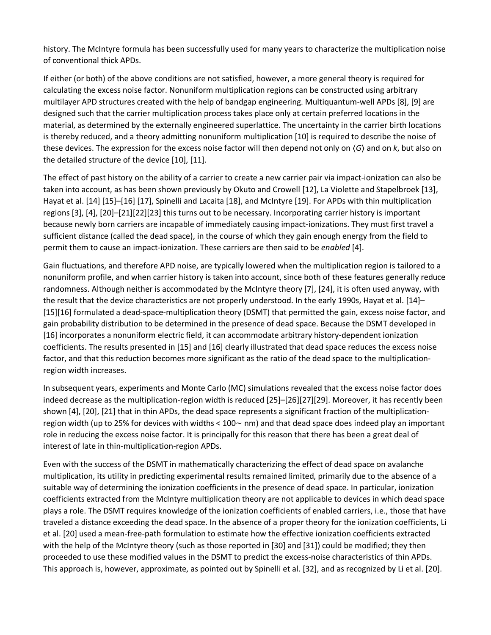history. The McIntyre formula has been successfully used for many years to characterize the multiplication noise of conventional thick APDs.

If either (or both) of the above conditions are not satisfied, however, a more general theory is required for calculating the excess noise factor. Nonuniform multiplication regions can be constructed using arbitrary multilayer APD structures created with the help of bandgap engineering. Multiquantum-well APDs [8], [9] are designed such that the carrier multiplication process takes place only at certain preferred locations in the material, as determined by the externally engineered superlattice. The uncertainty in the carrier birth locations is thereby reduced, and a theory admitting nonuniform multiplication [10] is required to describe the noise of these devices. The expression for the excess noise factor will then depend not only on ⟨*G*⟩ and on *k*, but also on the detailed structure of the device [10], [11].

The effect of past history on the ability of a carrier to create a new carrier pair via impact-ionization can also be taken into account, as has been shown previously by Okuto and Crowell [12], La Violette and Stapelbroek [13], Hayat et al. [14] [15]–[16] [17], Spinelli and Lacaita [18], and McIntyre [19]. For APDs with thin multiplication regions [3], [4], [20]–[21][22][23] this turns out to be necessary. Incorporating carrier history is important because newly born carriers are incapable of immediately causing impact-ionizations. They must first travel a sufficient distance (called the dead space), in the course of which they gain enough energy from the field to permit them to cause an impact-ionization. These carriers are then said to be *enabled* [4].

Gain fluctuations, and therefore APD noise, are typically lowered when the multiplication region is tailored to a nonuniform profile, and when carrier history is taken into account, since both of these features generally reduce randomness. Although neither is accommodated by the McIntyre theory [7], [24], it is often used anyway, with the result that the device characteristics are not properly understood. In the early 1990s, Hayat et al. [14]– [15][16] formulated a dead-space-multiplication theory (DSMT) that permitted the gain, excess noise factor, and gain probability distribution to be determined in the presence of dead space. Because the DSMT developed in [16] incorporates a nonuniform electric field, it can accommodate arbitrary history-dependent ionization coefficients. The results presented in [15] and [16] clearly illustrated that dead space reduces the excess noise factor, and that this reduction becomes more significant as the ratio of the dead space to the multiplicationregion width increases.

In subsequent years, experiments and Monte Carlo (MC) simulations revealed that the excess noise factor does indeed decrease as the multiplication-region width is reduced [25]–[26][27][29]. Moreover, it has recently been shown [4], [20], [21] that in thin APDs, the dead space represents a significant fraction of the multiplicationregion width (up to 25% for devices with widths < 100∼ nm) and that dead space does indeed play an important role in reducing the excess noise factor. It is principally for this reason that there has been a great deal of interest of late in thin-multiplication-region APDs.

Even with the success of the DSMT in mathematically characterizing the effect of dead space on avalanche multiplication, its utility in predicting experimental results remained limited, primarily due to the absence of a suitable way of determining the ionization coefficients in the presence of dead space. In particular, ionization coefficients extracted from the McIntyre multiplication theory are not applicable to devices in which dead space plays a role. The DSMT requires knowledge of the ionization coefficients of enabled carriers, i.e., those that have traveled a distance exceeding the dead space. In the absence of a proper theory for the ionization coefficients, Li et al. [20] used a mean-free-path formulation to estimate how the effective ionization coefficients extracted with the help of the McIntyre theory (such as those reported in [30] and [31]) could be modified; they then proceeded to use these modified values in the DSMT to predict the excess-noise characteristics of thin APDs. This approach is, however, approximate, as pointed out by Spinelli et al. [32], and as recognized by Li et al. [20].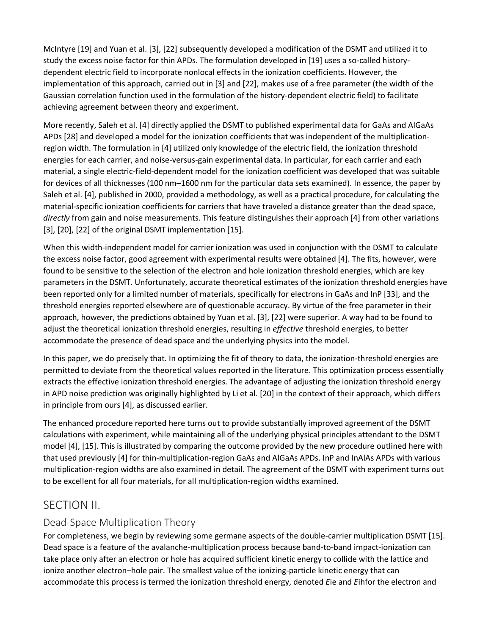McIntyre [19] and Yuan et al. [3], [22] subsequently developed a modification of the DSMT and utilized it to study the excess noise factor for thin APDs. The formulation developed in [19] uses a so-called historydependent electric field to incorporate nonlocal effects in the ionization coefficients. However, the implementation of this approach, carried out in [3] and [22], makes use of a free parameter (the width of the Gaussian correlation function used in the formulation of the history-dependent electric field) to facilitate achieving agreement between theory and experiment.

More recently, Saleh et al. [4] directly applied the DSMT to published experimental data for GaAs and AlGaAs APDs [28] and developed a model for the ionization coefficients that was independent of the multiplicationregion width. The formulation in [4] utilized only knowledge of the electric field, the ionization threshold energies for each carrier, and noise-versus-gain experimental data. In particular, for each carrier and each material, a single electric-field-dependent model for the ionization coefficient was developed that was suitable for devices of all thicknesses (100 nm–1600 nm for the particular data sets examined). In essence, the paper by Saleh et al. [4], published in 2000, provided a methodology, as well as a practical procedure, for calculating the material-specific ionization coefficients for carriers that have traveled a distance greater than the dead space, *directly* from gain and noise measurements. This feature distinguishes their approach [4] from other variations [3], [20], [22] of the original DSMT implementation [15].

When this width-independent model for carrier ionization was used in conjunction with the DSMT to calculate the excess noise factor, good agreement with experimental results were obtained [4]. The fits, however, were found to be sensitive to the selection of the electron and hole ionization threshold energies, which are key parameters in the DSMT. Unfortunately, accurate theoretical estimates of the ionization threshold energies have been reported only for a limited number of materials, specifically for electrons in GaAs and InP [33], and the threshold energies reported elsewhere are of questionable accuracy. By virtue of the free parameter in their approach, however, the predictions obtained by Yuan et al. [3], [22] were superior. A way had to be found to adjust the theoretical ionization threshold energies, resulting in *effective* threshold energies, to better accommodate the presence of dead space and the underlying physics into the model.

In this paper, we do precisely that. In optimizing the fit of theory to data, the ionization-threshold energies are permitted to deviate from the theoretical values reported in the literature. This optimization process essentially extracts the effective ionization threshold energies. The advantage of adjusting the ionization threshold energy in APD noise prediction was originally highlighted by Li et al. [20] in the context of their approach, which differs in principle from ours [4], as discussed earlier.

The enhanced procedure reported here turns out to provide substantially improved agreement of the DSMT calculations with experiment, while maintaining all of the underlying physical principles attendant to the DSMT model [4], [15]. This is illustrated by comparing the outcome provided by the new procedure outlined here with that used previously [4] for thin-multiplication-region GaAs and AlGaAs APDs. InP and InAlAs APDs with various multiplication-region widths are also examined in detail. The agreement of the DSMT with experiment turns out to be excellent for all four materials, for all multiplication-region widths examined.

## SECTION II.

#### Dead-Space Multiplication Theory

For completeness, we begin by reviewing some germane aspects of the double-carrier multiplication DSMT [15]. Dead space is a feature of the avalanche-multiplication process because band-to-band impact-ionization can take place only after an electron or hole has acquired sufficient kinetic energy to collide with the lattice and ionize another electron–hole pair. The smallest value of the ionizing-particle kinetic energy that can accommodate this process is termed the ionization threshold energy, denoted *E*ie and *E*ihfor the electron and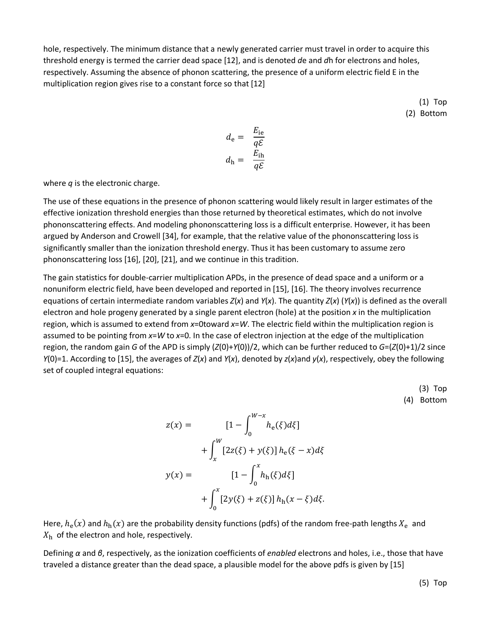hole, respectively. The minimum distance that a newly generated carrier must travel in order to acquire this threshold energy is termed the carrier dead space [12], and is denoted *d*e and *d*h for electrons and holes, respectively. Assuming the absence of phonon scattering, the presence of a uniform electric field E in the multiplication region gives rise to a constant force so that [12]

> (1) Top (2) Bottom

$$
d_{\rm e} = \frac{E_{\rm ie}}{q\mathcal{E}}
$$

$$
d_{\rm h} = \frac{E_{\rm ih}}{q\mathcal{E}}
$$

where *q* is the electronic charge.

The use of these equations in the presence of phonon scattering would likely result in larger estimates of the effective ionization threshold energies than those returned by theoretical estimates, which do not involve phononscattering effects. And modeling phononscattering loss is a difficult enterprise. However, it has been argued by Anderson and Crowell [34], for example, that the relative value of the phononscattering loss is significantly smaller than the ionization threshold energy. Thus it has been customary to assume zero phononscattering loss [16], [20], [21], and we continue in this tradition.

The gain statistics for double-carrier multiplication APDs, in the presence of dead space and a uniform or a nonuniform electric field, have been developed and reported in [15], [16]. The theory involves recurrence equations of certain intermediate random variables *Z*(*x*) and *Y*(*x*). The quantity *Z*(*x*) (*Y*(*x*)) is defined as the overall electron and hole progeny generated by a single parent electron (hole) at the position *x* in the multiplication region, which is assumed to extend from *x*=0toward *x*=*W*. The electric field within the multiplication region is assumed to be pointing from *x*=*W* to *x*=0. In the case of electron injection at the edge of the multiplication region, the random gain *G* of the APD is simply (*Z*(0)+*Y*(0))/2, which can be further reduced to *G*=(*Z*(0)+1)/2 since *Y*(0)=1. According to [15], the averages of *Z*(*x*) and *Y*(*x*), denoted by *z*(*x*)and *y*(*x*), respectively, obey the following set of coupled integral equations:

> (3) Top (4) Bottom

$$
z(x) = \qquad [1 - \int_0^{W-x} h_e(\xi) d\xi] + \int_x^W [2z(\xi) + y(\xi)] h_e(\xi - x) d\xi y(x) = \qquad [1 - \int_0^x h_h(\xi) d\xi] + \int_0^x [2y(\xi) + z(\xi)] h_h(x - \xi) d\xi.
$$

Here,  $h_e(x)$  and  $h_h(x)$  are the probability density functions (pdfs) of the random free-path lengths  $X_e$  and  $X<sub>h</sub>$  of the electron and hole, respectively.

Defining *α* and *β*, respectively, as the ionization coefficients of *enabled* electrons and holes, i.e., those that have traveled a distance greater than the dead space, a plausible model for the above pdfs is given by [15]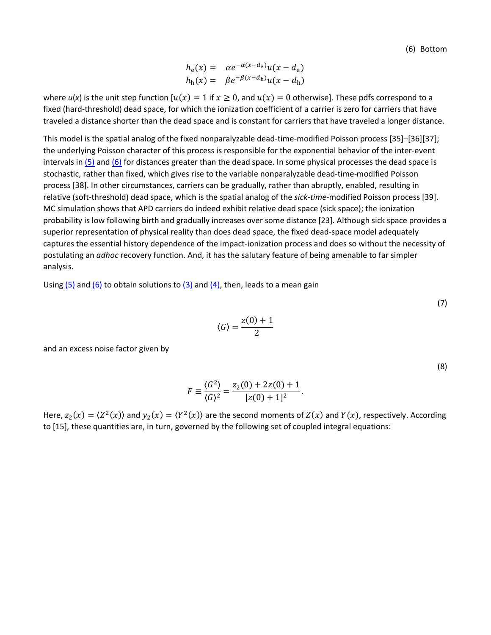(6) Bottom

$$
h_e(x) = \alpha e^{-\alpha(x - d_e)} u(x - d_e)
$$
  

$$
h_h(x) = \beta e^{-\beta(x - d_h)} u(x - d_h)
$$

where  $u(x)$  is the unit step function  $u(x) = 1$  if  $x \ge 0$ , and  $u(x) = 0$  otherwise]. These pdfs correspond to a fixed (hard-threshold) dead space, for which the ionization coefficient of a carrier is zero for carriers that have traveled a distance shorter than the dead space and is constant for carriers that have traveled a longer distance.

This model is the spatial analog of the fixed nonparalyzable dead-time-modified Poisson process [35]–[36][37]; the underlying Poisson character of this process is responsible for the exponential behavior of the inter-event intervals i[n \(5\)](https://ieeexplore.ieee.org/document/#deqn5-6) an[d \(6\)](https://ieeexplore.ieee.org/document/#deqn5-6) for distances greater than the dead space. In some physical processes the dead space is stochastic, rather than fixed, which gives rise to the variable nonparalyzable dead-time-modified Poisson process [38]. In other circumstances, carriers can be gradually, rather than abruptly, enabled, resulting in relative (soft-threshold) dead space, which is the spatial analog of the *sick-time*-modified Poisson process [39]. MC simulation shows that APD carriers do indeed exhibit relative dead space (sick space); the ionization probability is low following birth and gradually increases over some distance [23]. Although sick space provides a superior representation of physical reality than does dead space, the fixed dead-space model adequately captures the essential history dependence of the impact-ionization process and does so without the necessity of postulating an *adhoc* recovery function. And, it has the salutary feature of being amenable to far simpler analysis.

Using  $(5)$  and  $(6)$  to obtain solutions to  $(3)$  and  $(4)$ , then, leads to a mean gain

$$
\langle G \rangle = \frac{z(0) + 1}{2}
$$

and an excess noise factor given by

(8)

(7)

$$
F \equiv \frac{\langle G^2 \rangle}{\langle G \rangle^2} = \frac{z_2(0) + 2z(0) + 1}{[z(0) + 1]^2}.
$$

Here,  $z_2(x) = \langle Z^2(x) \rangle$  and  $y_2(x) = \langle Y^2(x) \rangle$  are the second moments of  $Z(x)$  and  $Y(x)$ , respectively. According to [15], these quantities are, in turn, governed by the following set of coupled integral equations: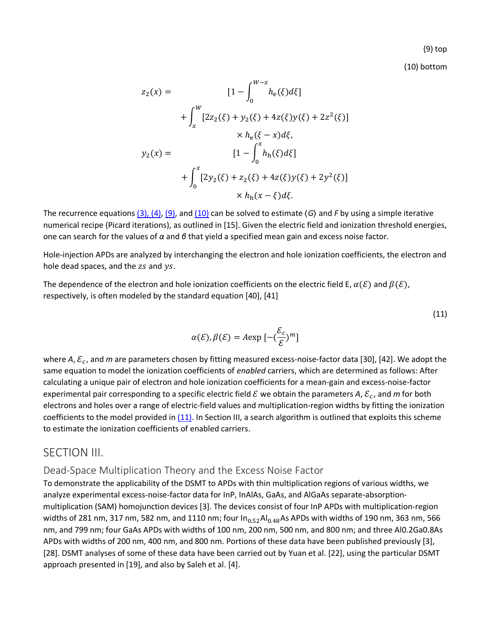(9) top

(11)

(10) bottom

$$
z_2(x) = \qquad [1 - \int_0^{W-x} h_e(\xi) d\xi]
$$
  
+ 
$$
\int_x^W [2z_2(\xi) + y_2(\xi) + 4z(\xi)y(\xi) + 2z^2(\xi)]
$$
  

$$
\times h_e(\xi - x) d\xi,
$$
  

$$
y_2(x) = \qquad [1 - \int_0^x h_h(\xi) d\xi]
$$
  
+ 
$$
\int_0^x [2y_2(\xi) + z_2(\xi) + 4z(\xi)y(\xi) + 2y^2(\xi)]
$$
  

$$
\times h_h(x - \xi) d\xi.
$$

The recurrence equations [\(3\), \(4\),](https://ieeexplore.ieee.org/document/#deqn3-4) [\(9\),](https://ieeexplore.ieee.org/document/#deqn9-10) and [\(10\)](https://ieeexplore.ieee.org/document/#deqn9-10) can be solved to estimate ⟨*G*⟩ and *F* by using a simple iterative numerical recipe (Picard iterations), as outlined in [15]. Given the electric field and ionization threshold energies, one can search for the values of *α* and *β* that yield a specified mean gain and excess noise factor.

Hole-injection APDs are analyzed by interchanging the electron and hole ionization coefficients, the electron and hole dead spaces, and the  $zs$  and  $ys$ .

The dependence of the electron and hole ionization coefficients on the electric field E,  $\alpha(\mathcal{E})$  and  $\beta(\mathcal{E})$ , respectively, is often modeled by the standard equation [40], [41]

$$
\alpha(\mathcal{E}), \beta(\mathcal{E}) = A \exp\left[-\left(\frac{\mathcal{E}_c}{\mathcal{E}}\right)^m\right]
$$

where *A*,  $\varepsilon_c$ , and *m* are parameters chosen by fitting measured excess-noise-factor data [30], [42]. We adopt the same equation to model the ionization coefficients of *enabled* carriers, which are determined as follows: After calculating a unique pair of electron and hole ionization coefficients for a mean-gain and excess-noise-factor experimental pair corresponding to a specific electric field  $\mathcal E$  we obtain the parameters  $A$ ,  $\mathcal E_c$ , and m for both electrons and holes over a range of electric-field values and multiplication-region widths by fitting the ionization coefficients to the model provided in  $(11)$ . In Section III, a search algorithm is outlined that exploits this scheme to estimate the ionization coefficients of enabled carriers.

#### SECTION III.

#### Dead-Space Multiplication Theory and the Excess Noise Factor

To demonstrate the applicability of the DSMT to APDs with thin multiplication regions of various widths, we analyze experimental excess-noise-factor data for InP, InAlAs, GaAs, and AlGaAs separate-absorptionmultiplication (SAM) homojunction devices [3]. The devices consist of four InP APDs with multiplication-region widths of 281 nm, 317 nm, 582 nm, and 1110 nm; four  $\ln_{0.52}$ Al<sub>0.48</sub>As APDs with widths of 190 nm, 363 nm, 566 nm, and 799 nm; four GaAs APDs with widths of 100 nm, 200 nm, 500 nm, and 800 nm; and three Al0.2Ga0.8As APDs with widths of 200 nm, 400 nm, and 800 nm. Portions of these data have been published previously [3], [28]. DSMT analyses of some of these data have been carried out by Yuan et al. [22], using the particular DSMT approach presented in [19], and also by Saleh et al. [4].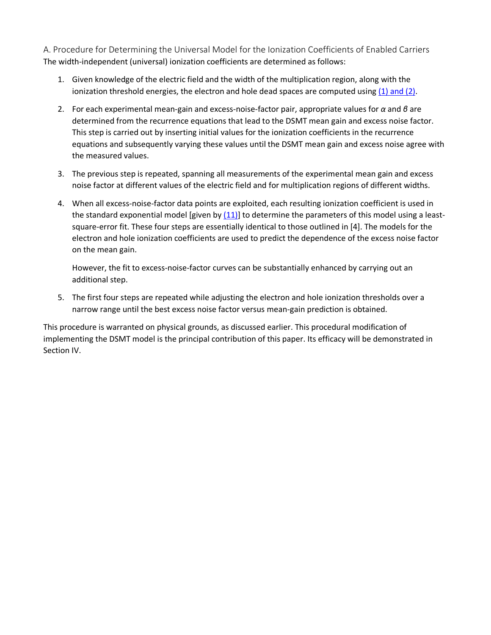A. Procedure for Determining the Universal Model for the Ionization Coefficients of Enabled Carriers The width-independent (universal) ionization coefficients are determined as follows:

- 1. Given knowledge of the electric field and the width of the multiplication region, along with the ionization threshold energies, the electron and hole dead spaces are computed using [\(1\) and \(2\).](https://ieeexplore.ieee.org/document/#deqn1-2)
- 2. For each experimental mean-gain and excess-noise-factor pair, appropriate values for *α* and *β* are determined from the recurrence equations that lead to the DSMT mean gain and excess noise factor. This step is carried out by inserting initial values for the ionization coefficients in the recurrence equations and subsequently varying these values until the DSMT mean gain and excess noise agree with the measured values.
- 3. The previous step is repeated, spanning all measurements of the experimental mean gain and excess noise factor at different values of the electric field and for multiplication regions of different widths.
- 4. When all excess-noise-factor data points are exploited, each resulting ionization coefficient is used in the standard exponential model [given by  $(11)$ ] to determine the parameters of this model using a leastsquare-error fit. These four steps are essentially identical to those outlined in [4]. The models for the electron and hole ionization coefficients are used to predict the dependence of the excess noise factor on the mean gain.

However, the fit to excess-noise-factor curves can be substantially enhanced by carrying out an additional step.

5. The first four steps are repeated while adjusting the electron and hole ionization thresholds over a narrow range until the best excess noise factor versus mean-gain prediction is obtained.

This procedure is warranted on physical grounds, as discussed earlier. This procedural modification of implementing the DSMT model is the principal contribution of this paper. Its efficacy will be demonstrated in Section IV.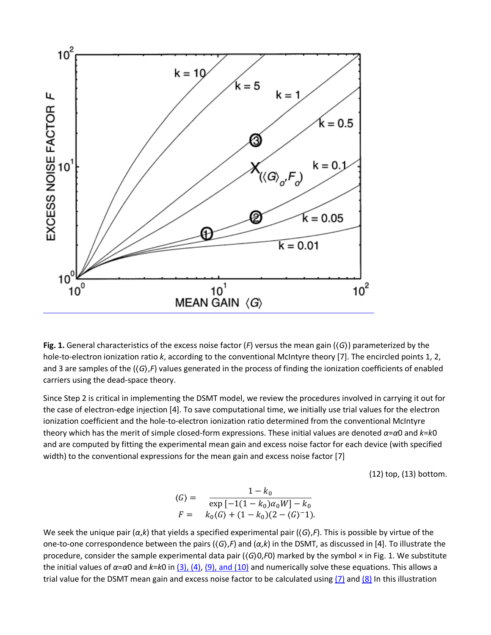

**Fig. 1.** General characteristics of the excess noise factor (*F*) versus the mean gain (⟨*G*⟩) parameterized by the hole-to-electron ionization ratio *k*, according to the conventional McIntyre theory [7]. The encircled points 1, 2, and 3 are samples of the ( $\langle G \rangle$ ,*F*) values generated in the process of finding the ionization coefficients of enabled carriers using the dead-space theory.

Since Step 2 is critical in implementing the DSMT model, we review the procedures involved in carrying it out for the case of electron-edge injection [4]. To save computational time, we initially use trial values for the electron ionization coefficient and the hole-to-electron ionization ratio determined from the conventional McIntyre theory which has the merit of simple closed-form expressions. These initial values are denoted *α*=*α*0 and *k*=*k*0 and are computed by fitting the experimental mean gain and excess noise factor for each device (with specified width) to the conventional expressions for the mean gain and excess noise factor [7]

(12) top, (13) bottom.

$$
\langle G \rangle = \frac{1 - k_0}{\exp\left[-1(1 - k_0)\alpha_0 W\right] - k_0}
$$
  

$$
F = k_0 \langle G \rangle + (1 - k_0)(2 - \langle G \rangle^{-1}).
$$

We seek the unique pair (*α*,*k*) that yields a specified experimental pair (⟨*G*⟩,*F*). This is possible by virtue of the one-to-one correspondence between the pairs (⟨*G*⟩,*F*) and (*α*,*k*) in the DSMT, as discussed in [4]. To illustrate the procedure, consider the sample experimental data pair (⟨*G*⟩0,*F*0) marked by the symbol × in Fig. 1. We substitute the initial values of *α*=*α*0 and *k*=*k*0 in [\(3\), \(4\),](https://ieeexplore.ieee.org/document/#deqn3-4) [\(9\), and \(10\)](https://ieeexplore.ieee.org/document/#deqn9-10) and numerically solve these equations. This allows a trial value for the DSMT mean gain and excess noise factor to be calculated using  $(7)$  and  $(8)$  In this illustration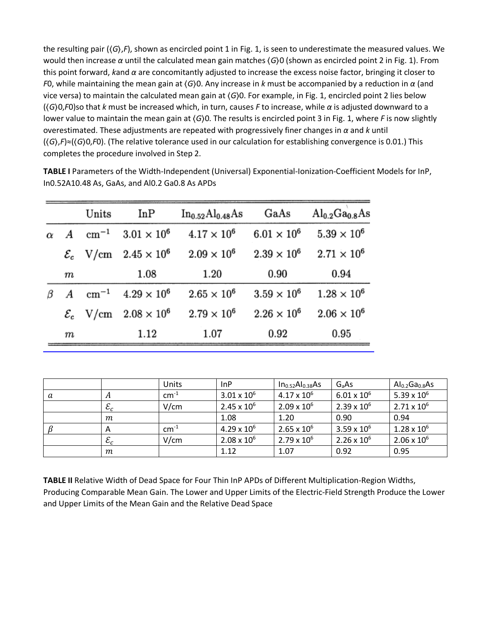the resulting pair (⟨*G*⟩,*F*), shown as encircled point 1 in Fig. 1, is seen to underestimate the measured values. We would then increase *α* until the calculated mean gain matches ⟨*G*⟩0 (shown as encircled point 2 in Fig. 1). From this point forward, *k*and *α* are concomitantly adjusted to increase the excess noise factor, bringing it closer to *F*0, while maintaining the mean gain at ⟨*G*⟩0. Any increase in *k* must be accompanied by a reduction in *α* (and vice versa) to maintain the calculated mean gain at ⟨*G*⟩0. For example, in Fig. 1, encircled point 2 lies below (⟨*G*⟩0,*F*0)so that *k* must be increased which, in turn, causes *F* to increase, while *α* is adjusted downward to a lower value to maintain the mean gain at ⟨*G*⟩0. The results is encircled point 3 in Fig. 1, where *F* is now slightly overestimated. These adjustments are repeated with progressively finer changes in *α* and *k* until (⟨*G*⟩,*F*)≈(⟨*G*⟩0,*F*0). (The relative tolerance used in our calculation for establishing convergence is 0.01.) This completes the procedure involved in Step 2.

|                  | Units         | InP                                     | In <sub>0.52</sub> Al <sub>0.48</sub> As | GaAs                 | $\mathrm{Al}_{0.2}\mathrm{Ga}_{0.8}\mathrm{As}$ |
|------------------|---------------|-----------------------------------------|------------------------------------------|----------------------|-------------------------------------------------|
|                  | $\rm cm^{-1}$ | $3.01 \times 10^{6}$                    | $4.17 \times 10^{6}$                     | $6.01 \times 10^{6}$ | $5.39 \times 10^{6}$                            |
|                  |               | $\mathcal{E}_c$ V/cm $2.45 \times 10^6$ | $2.09 \times 10^{6}$                     | $2.39 \times 10^{6}$ | $2.71 \times 10^{6}$                            |
| $_{m}$           |               | $1.08\,$                                | 1.20                                     | 0.90                 | 0.94                                            |
| $\boldsymbol{A}$ | $\rm cm^{-1}$ | $4.29 \times 10^{6}$                    | $2.65 \times 10^{6}$                     | $3.59 \times 10^{6}$ | $1.28 \times 10^{6}$                            |
|                  |               | $\mathcal{E}_c$ V/cm $2.08 \times 10^6$ | $2.79 \times 10^{6}$                     | $2.26 \times 10^{6}$ | $2.06 \times 10^{6}$                            |
| $_{m}$           |               | 1.12                                    | 1.07                                     | 0.92                 | 0.95                                            |

**TABLE I** Parameters of the Width-Independent (Universal) Exponential-Ionization-Coefficient Models for InP, In0.52A10.48 As, GaAs, and Al0.2 Ga0.8 As APDs

|   |                 | Units     | InP                  | In <sub>0.52</sub> Al <sub>0.38</sub> As | G <sub>a</sub> As    | Al <sub>0.2</sub> Ga <sub>0.8</sub> As |
|---|-----------------|-----------|----------------------|------------------------------------------|----------------------|----------------------------------------|
| a | $\mathbf{H}$    | $cm^{-1}$ | $3.01 \times 10^{6}$ | $4.17 \times 10^{6}$                     | $6.01 \times 10^{6}$ | $5.39 \times 10^{6}$                   |
|   | $\varepsilon_c$ | V/cm      | $2.45 \times 10^{6}$ | $2.09 \times 10^{6}$                     | $2.39 \times 10^{6}$ | $2.71 \times 10^{6}$                   |
|   | т               |           | 1.08                 | 1.20                                     | 0.90                 | 0.94                                   |
|   | Α               | $cm^{-1}$ | $4.29 \times 10^{6}$ | $2.65 \times 10^{6}$                     | $3.59 \times 10^{6}$ | $1.28 \times 10^{6}$                   |
|   | $\varepsilon_c$ | V/cm      | $2.08 \times 10^{6}$ | $2.79 \times 10^{6}$                     | $2.26 \times 10^{6}$ | $2.06 \times 10^{6}$                   |
|   | т               |           | 1.12                 | 1.07                                     | 0.92                 | 0.95                                   |

**TABLE II** Relative Width of Dead Space for Four Thin InP APDs of Different Multiplication-Region Widths, Producing Comparable Mean Gain. The Lower and Upper Limits of the Electric-Field Strength Produce the Lower and Upper Limits of the Mean Gain and the Relative Dead Space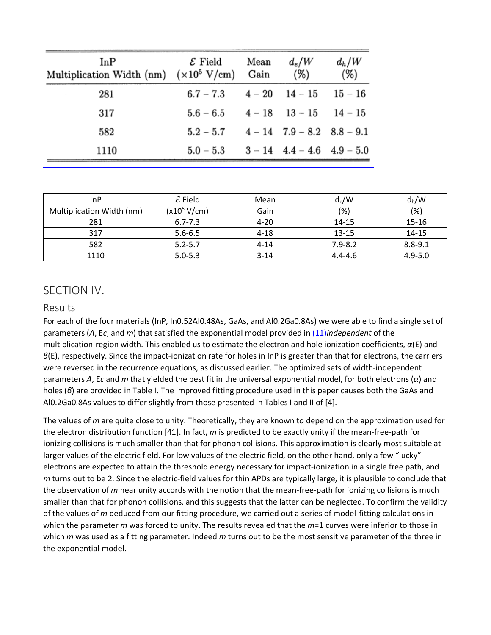| InP<br>Multiplication Width (nm) $(x10^5 \text{ V/cm})$ Gain | ${\cal E}$ Field                             | Mean | $d_e/W$<br>(%)                   | $d_h/W$<br>(%) |
|--------------------------------------------------------------|----------------------------------------------|------|----------------------------------|----------------|
| 281                                                          | $6.7 - 7.3$ $4 - 20$ $14 - 15$ $15 - 16$     |      |                                  |                |
| 317                                                          | $5.6 - 6.5$ $4 - 18$ $13 - 15$ $14 - 15$     |      |                                  |                |
| 582                                                          | $5.2 - 5.7$ $4 - 14$ $7.9 - 8.2$ $8.8 - 9.1$ |      |                                  |                |
| 1110                                                         | $5.0 - 5.3$                                  |      | $3 - 14$ $4.4 - 4.6$ $4.9 - 5.0$ |                |

| InP                       | ${\cal E}$ Field | Mean     | $d_e/W$     | $d_h/W$     |
|---------------------------|------------------|----------|-------------|-------------|
| Multiplication Width (nm) | $(x10^5 V/cm)$   | Gain     | $(\%)$      | (%)         |
| 281                       | $6.7 - 7.3$      | $4 - 20$ | 14-15       | 15-16       |
| 317                       | $5.6 - 6.5$      | $4 - 18$ | $13 - 15$   | 14-15       |
| 582                       | $5.2 - 5.7$      | $4 - 14$ | $7.9 - 8.2$ | $8.8 - 9.1$ |
| 1110                      | $5.0 - 5.3$      | $3 - 14$ | $4.4 - 4.6$ | $4.9 - 5.0$ |

#### SECTION IV.

#### Results

For each of the four materials (InP, In0.52Al0.48As, GaAs, and Al0.2Ga0.8As) we were able to find a single set of parameters (*A*, E*c*, and *m*) that satisfied the exponential model provided i[n \(11\)](https://ieeexplore.ieee.org/document/#deqn11)*independent* of the multiplication-region width. This enabled us to estimate the electron and hole ionization coefficients, *α*(E) and *β*(E), respectively. Since the impact-ionization rate for holes in InP is greater than that for electrons, the carriers were reversed in the recurrence equations, as discussed earlier. The optimized sets of width-independent parameters *A*, E*c* and *m* that yielded the best fit in the universal exponential model, for both electrons (*α*) and holes (*β*) are provided in Table I. The improved fitting procedure used in this paper causes both the GaAs and Al0.2Ga0.8As values to differ slightly from those presented in Tables I and II of [4].

The values of *m* are quite close to unity. Theoretically, they are known to depend on the approximation used for the electron distribution function [41]. In fact, *m* is predicted to be exactly unity if the mean-free-path for ionizing collisions is much smaller than that for phonon collisions. This approximation is clearly most suitable at larger values of the electric field. For low values of the electric field, on the other hand, only a few "lucky" electrons are expected to attain the threshold energy necessary for impact-ionization in a single free path, and *m* turns out to be 2. Since the electric-field values for thin APDs are typically large, it is plausible to conclude that the observation of *m* near unity accords with the notion that the mean-free-path for ionizing collisions is much smaller than that for phonon collisions, and this suggests that the latter can be neglected. To confirm the validity of the values of *m* deduced from our fitting procedure, we carried out a series of model-fitting calculations in which the parameter *m* was forced to unity. The results revealed that the *m*=1 curves were inferior to those in which *m* was used as a fitting parameter. Indeed *m* turns out to be the most sensitive parameter of the three in the exponential model.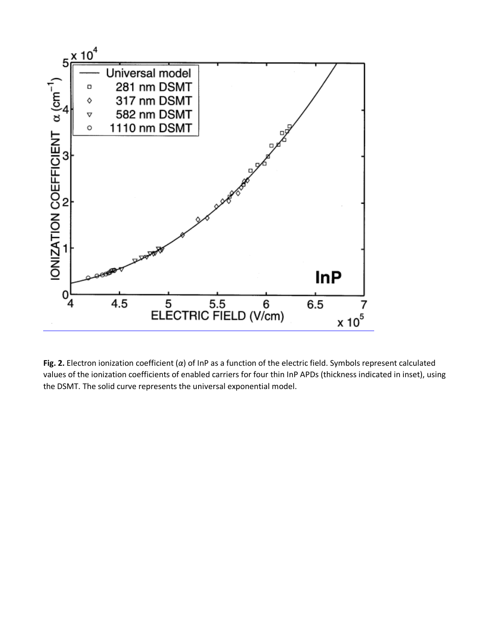

**Fig. 2.** Electron ionization coefficient (*α*) of InP as a function of the electric field. Symbols represent calculated values of the ionization coefficients of enabled carriers for four thin InP APDs (thickness indicated in inset), using the DSMT. The solid curve represents the universal exponential model.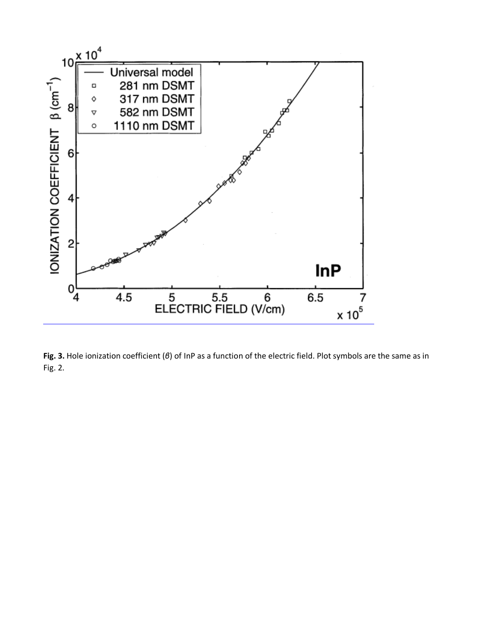![](_page_14_Figure_0.jpeg)

**Fig. 3.** Hole ionization coefficient (*β*) of InP as a function of the electric field. Plot symbols are the same as in Fig. 2.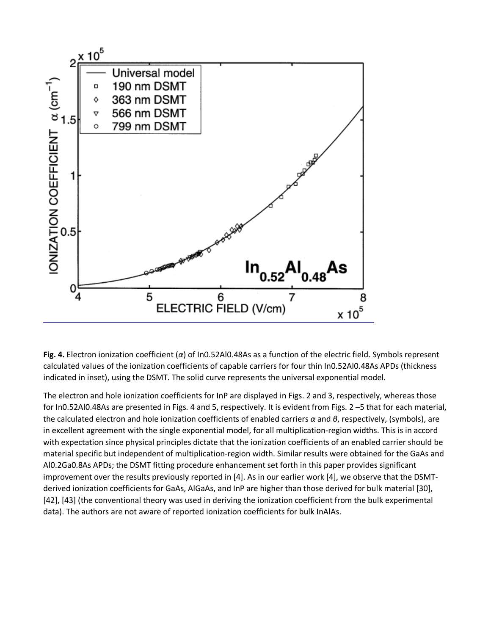![](_page_15_Figure_0.jpeg)

**Fig. 4.** Electron ionization coefficient (*α*) of In0.52Al0.48As as a function of the electric field. Symbols represent calculated values of the ionization coefficients of capable carriers for four thin In0.52Al0.48As APDs (thickness indicated in inset), using the DSMT. The solid curve represents the universal exponential model.

The electron and hole ionization coefficients for InP are displayed in Figs. 2 and 3, respectively, whereas those for In0.52Al0.48As are presented in Figs. 4 and 5, respectively. It is evident from Figs. 2 –5 that for each material, the calculated electron and hole ionization coefficients of enabled carriers *α* and *β*, respectively, (symbols), are in excellent agreement with the single exponential model, for all multiplication-region widths. This is in accord with expectation since physical principles dictate that the ionization coefficients of an enabled carrier should be material specific but independent of multiplication-region width. Similar results were obtained for the GaAs and Al0.2Ga0.8As APDs; the DSMT fitting procedure enhancement set forth in this paper provides significant improvement over the results previously reported in [4]. As in our earlier work [4], we observe that the DSMTderived ionization coefficients for GaAs, AlGaAs, and InP are higher than those derived for bulk material [30], [42], [43] (the conventional theory was used in deriving the ionization coefficient from the bulk experimental data). The authors are not aware of reported ionization coefficients for bulk InAlAs.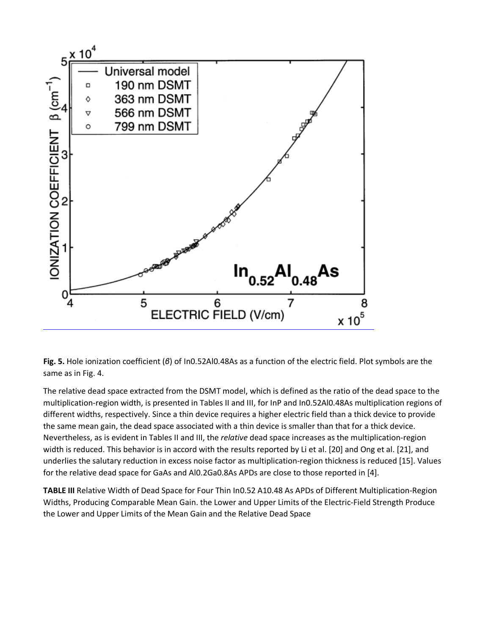![](_page_16_Figure_0.jpeg)

**Fig. 5.** Hole ionization coefficient (*β*) of In0.52Al0.48As as a function of the electric field. Plot symbols are the same as in Fig. 4.

The relative dead space extracted from the DSMT model, which is defined as the ratio of the dead space to the multiplication-region width, is presented in Tables II and III, for InP and In0.52Al0.48As multiplication regions of different widths, respectively. Since a thin device requires a higher electric field than a thick device to provide the same mean gain, the dead space associated with a thin device is smaller than that for a thick device. Nevertheless, as is evident in Tables II and III, the *relative* dead space increases as the multiplication-region width is reduced. This behavior is in accord with the results reported by Li et al. [20] and Ong et al. [21], and underlies the salutary reduction in excess noise factor as multiplication-region thickness is reduced [15]. Values for the relative dead space for GaAs and Al0.2Ga0.8As APDs are close to those reported in [4].

**TABLE III** Relative Width of Dead Space for Four Thin In0.52 A10.48 As APDs of Different Multiplication-Region Widths, Producing Comparable Mean Gain. the Lower and Upper Limits of the Electric-Field Strength Produce the Lower and Upper Limits of the Mean Gain and the Relative Dead Space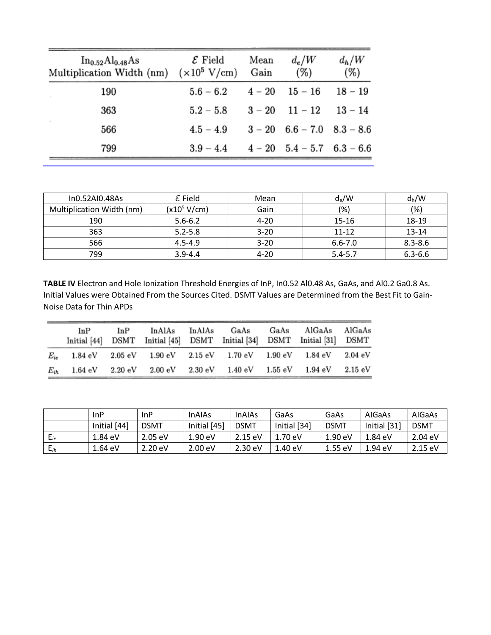| In <sub>0.52</sub> Al <sub>0.48</sub> As<br>Multiplication Width (nm) $(x10^5 \text{ V/cm})$ | $\mathcal E$ Field | Mean<br>Gain | $d_e/W$<br>(%)                   | $d_h/W$<br>$(\%)$ |
|----------------------------------------------------------------------------------------------|--------------------|--------------|----------------------------------|-------------------|
| 190                                                                                          | $5.6 - 6.2$        |              | $4 - 20$ $15 - 16$               | $18 - 19$         |
| 363                                                                                          | $5.2 - 5.8$        |              | $3 - 20$ 11 - 12                 | $13 - 14$         |
| 566                                                                                          | $4.5 - 4.9$        |              | $3 - 20$ 6.6 - 7.0 8.3 - 8.6     |                   |
| 799                                                                                          | $3.9 - 4.4$        |              | $4 - 20$ $5.4 - 5.7$ $6.3 - 6.6$ |                   |

| In0.52AI0.48As            | ${\cal E}$ Field | Mean     | $d_e/W$     | $d_h/W$     |
|---------------------------|------------------|----------|-------------|-------------|
| Multiplication Width (nm) | $(x10^5 V/cm)$   | Gain     | (%)         | (%)         |
| 190                       | $5.6 - 6.2$      | $4 - 20$ | $15 - 16$   | 18-19       |
| 363                       | $5.2 - 5.8$      | $3 - 20$ | $11 - 12$   | $13 - 14$   |
| 566                       | $4.5 - 4.9$      | $3 - 20$ | $6.6 - 7.0$ | $8.3 - 8.6$ |
| 799                       | $3.9 - 4.4$      | $4 - 20$ | $5.4 - 5.7$ | $6.3 - 6.6$ |

**TABLE IV** Electron and Hole Ionization Threshold Energies of InP, In0.52 Al0.48 As, GaAs, and Al0.2 Ga0.8 As. Initial Values were Obtained From the Sources Cited. DSMT Values are Determined from the Best Fit to Gain-Noise Data for Thin APDs

|          | In P<br>Initial [44] | InP                   | InAlAs           | InAlAs  | GaAs<br>DSMT Initial [45] DSMT Initial [34]                             | GaAs    | AlGaAs<br>DSMT Initial [31] DSMT | AlGaAs            |
|----------|----------------------|-----------------------|------------------|---------|-------------------------------------------------------------------------|---------|----------------------------------|-------------------|
| $E_{ie}$ | 1.84 eV              | $2.05\;\mathrm{eV}$   |                  |         | $1.90 \text{ eV}$ $2.15 \text{ eV}$ $1.70 \text{ eV}$ $1.90 \text{ eV}$ |         | 1.84 eV                          | 2.04 eV           |
| $E_{ih}$ | $1.64 \text{ eV}$    | $2.20 \; \mathrm{eV}$ | $2.00\;{\rm eV}$ | 2.30 eV | $1.40 \; \mathrm{eV}$                                                   | 1.55 eV | 1.94 eV                          | $2.15 \text{ eV}$ |

|          | <b>InP</b>   | InP               | <b>InAIAs</b>     | <b>InAIAs</b>     | GaAs              | GaAs              | AIGaAs            | AIGaAs            |
|----------|--------------|-------------------|-------------------|-------------------|-------------------|-------------------|-------------------|-------------------|
|          | Initial [44] | <b>DSMT</b>       | Initial [45]      | <b>DSMT</b>       | Initial [34]      | <b>DSMT</b>       | Initial [31]      | <b>DSMT</b>       |
| $E_{ie}$ | 1.84 eV      | $2.05 \text{ eV}$ | $1.90 \text{ eV}$ | 2.15 eV           | $1.70 \text{ eV}$ | $1.90 \text{ eV}$ | 1.84 eV           | $2.04 \text{ eV}$ |
| $E_{ih}$ | 1.64 eV      | $2.20 \text{ eV}$ | $2.00 \text{ eV}$ | $2.30 \text{ eV}$ | 1.40 eV           | $1.55$ eV         | $1.94 \text{ eV}$ | $2.15 \text{ eV}$ |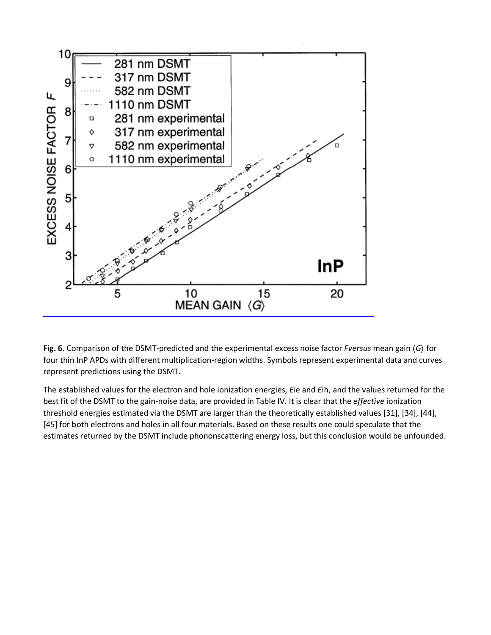![](_page_18_Figure_0.jpeg)

**Fig. 6.** Comparison of the DSMT-predicted and the experimental excess noise factor *Fversus* mean gain ⟨*G*⟩ for four thin InP APDs with different multiplication-region widths. Symbols represent experimental data and curves represent predictions using the DSMT.

The established values for the electron and hole ionization energies, *E*ie and *E*ih, and the values returned for the best fit of the DSMT to the gain-noise data, are provided in Table IV. It is clear that the *effective* ionization threshold energies estimated via the DSMT are larger than the theoretically established values [31], [34], [44], [45] for both electrons and holes in all four materials. Based on these results one could speculate that the estimates returned by the DSMT include phononscattering energy loss, but this conclusion would be unfounded.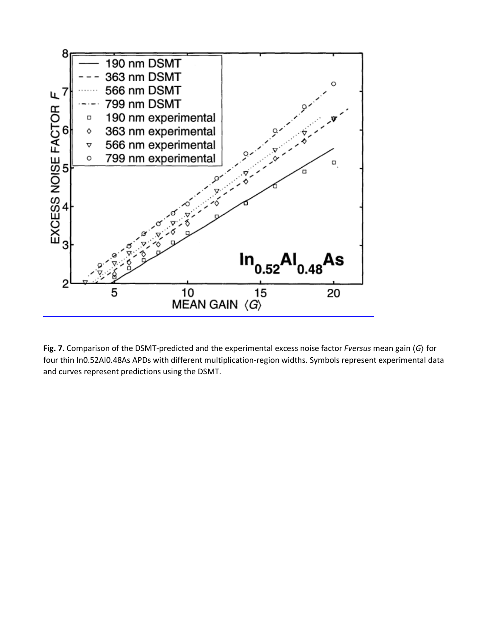![](_page_19_Figure_0.jpeg)

**Fig. 7.** Comparison of the DSMT-predicted and the experimental excess noise factor *Fversus* mean gain ⟨*G*⟩ for four thin In0.52Al0.48As APDs with different multiplication-region widths. Symbols represent experimental data and curves represent predictions using the DSMT.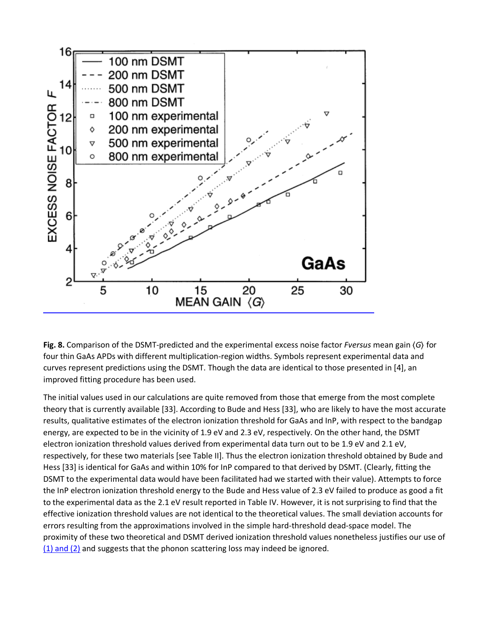![](_page_20_Figure_0.jpeg)

**Fig. 8.** Comparison of the DSMT-predicted and the experimental excess noise factor *Fversus* mean gain ⟨*G*⟩ for four thin GaAs APDs with different multiplication-region widths. Symbols represent experimental data and curves represent predictions using the DSMT. Though the data are identical to those presented in [4], an improved fitting procedure has been used.

The initial values used in our calculations are quite removed from those that emerge from the most complete theory that is currently available [33]. According to Bude and Hess [33], who are likely to have the most accurate results, qualitative estimates of the electron ionization threshold for GaAs and InP, with respect to the bandgap energy, are expected to be in the vicinity of 1.9 eV and 2.3 eV, respectively. On the other hand, the DSMT electron ionization threshold values derived from experimental data turn out to be 1.9 eV and 2.1 eV, respectively, for these two materials [see Table II]. Thus the electron ionization threshold obtained by Bude and Hess [33] is identical for GaAs and within 10% for InP compared to that derived by DSMT. (Clearly, fitting the DSMT to the experimental data would have been facilitated had we started with their value). Attempts to force the InP electron ionization threshold energy to the Bude and Hess value of 2.3 eV failed to produce as good a fit to the experimental data as the 2.1 eV result reported in Table IV. However, it is not surprising to find that the effective ionization threshold values are not identical to the theoretical values. The small deviation accounts for errors resulting from the approximations involved in the simple hard-threshold dead-space model. The proximity of these two theoretical and DSMT derived ionization threshold values nonetheless justifies our use of  $(1)$  and  $(2)$  and suggests that the phonon scattering loss may indeed be ignored.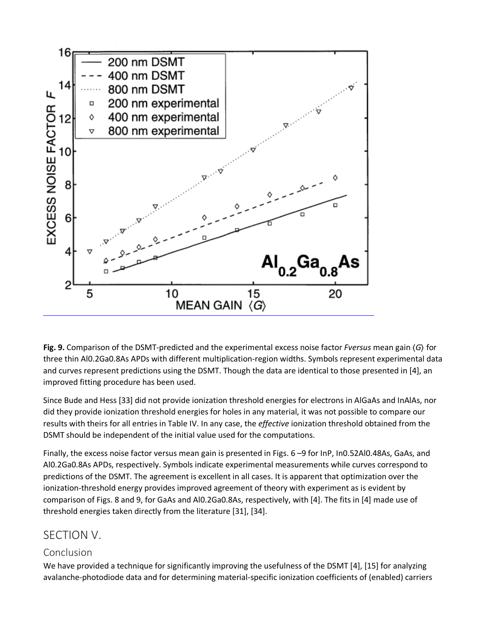![](_page_21_Figure_0.jpeg)

**Fig. 9.** Comparison of the DSMT-predicted and the experimental excess noise factor *Fversus* mean gain ⟨*G*⟩ for three thin Al0.2Ga0.8As APDs with different multiplication-region widths. Symbols represent experimental data and curves represent predictions using the DSMT. Though the data are identical to those presented in [4], an improved fitting procedure has been used.

Since Bude and Hess [33] did not provide ionization threshold energies for electrons in AlGaAs and InAlAs, nor did they provide ionization threshold energies for holes in any material, it was not possible to compare our results with theirs for all entries in Table IV. In any case, the *effective* ionization threshold obtained from the DSMT should be independent of the initial value used for the computations.

Finally, the excess noise factor versus mean gain is presented in Figs. 6 –9 for InP, In0.52Al0.48As, GaAs, and Al0.2Ga0.8As APDs, respectively. Symbols indicate experimental measurements while curves correspond to predictions of the DSMT. The agreement is excellent in all cases. It is apparent that optimization over the ionization-threshold energy provides improved agreement of theory with experiment as is evident by comparison of Figs. 8 and 9, for GaAs and Al0.2Ga0.8As, respectively, with [4]. The fits in [4] made use of threshold energies taken directly from the literature [31], [34].

## SECTION V.

#### Conclusion

We have provided a technique for significantly improving the usefulness of the DSMT [4], [15] for analyzing avalanche-photodiode data and for determining material-specific ionization coefficients of (enabled) carriers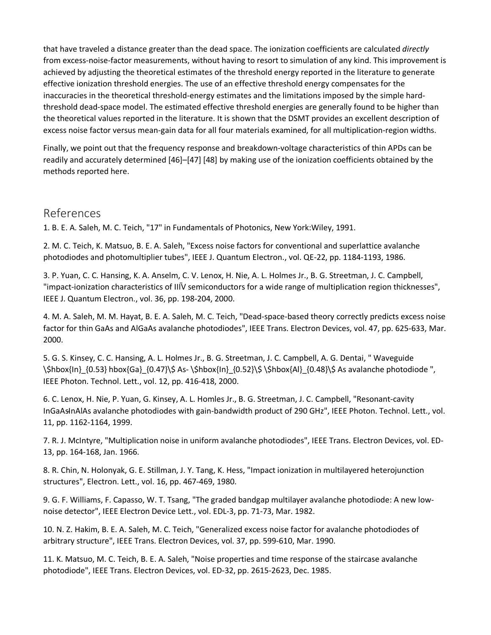that have traveled a distance greater than the dead space. The ionization coefficients are calculated *directly* from excess-noise-factor measurements, without having to resort to simulation of any kind. This improvement is achieved by adjusting the theoretical estimates of the threshold energy reported in the literature to generate effective ionization threshold energies. The use of an effective threshold energy compensates for the inaccuracies in the theoretical threshold-energy estimates and the limitations imposed by the simple hardthreshold dead-space model. The estimated effective threshold energies are generally found to be higher than the theoretical values reported in the literature. It is shown that the DSMT provides an excellent description of excess noise factor versus mean-gain data for all four materials examined, for all multiplication-region widths.

Finally, we point out that the frequency response and breakdown-voltage characteristics of thin APDs can be readily and accurately determined [46]–[47] [48] by making use of the ionization coefficients obtained by the methods reported here.

#### References

1. B. E. A. Saleh, M. C. Teich, "17" in Fundamentals of Photonics, New York:Wiley, 1991.

2. M. C. Teich, K. Matsuo, B. E. A. Saleh, "Excess noise factors for conventional and superlattice avalanche photodiodes and photomultiplier tubes", IEEE J. Quantum Electron., vol. QE-22, pp. 1184-1193, 1986.

3. P. Yuan, C. C. Hansing, K. A. Anselm, C. V. Lenox, H. Nie, A. L. Holmes Jr., B. G. Streetman, J. C. Campbell, "impact-ionization characteristics of IIIV semiconductors for a wide range of multiplication region thicknesses", IEEE J. Quantum Electron., vol. 36, pp. 198-204, 2000.

4. M. A. Saleh, M. M. Hayat, B. E. A. Saleh, M. C. Teich, "Dead-space-based theory correctly predicts excess noise factor for thin GaAs and AlGaAs avalanche photodiodes", IEEE Trans. Electron Devices, vol. 47, pp. 625-633, Mar. 2000.

5. G. S. Kinsey, C. C. Hansing, A. L. Holmes Jr., B. G. Streetman, J. C. Campbell, A. G. Dentai, " Waveguide \\$hbox{In}\_{0.53} hbox{Ga}\_{0.47}\\$ As- \\$hbox{In}\_{0.52}\\$ \\$hbox{Al}\_{0.48}\\$ As avalanche photodiode ", IEEE Photon. Technol. Lett., vol. 12, pp. 416-418, 2000.

6. C. Lenox, H. Nie, P. Yuan, G. Kinsey, A. L. Homles Jr., B. G. Streetman, J. C. Campbell, "Resonant-cavity InGaAs̵InAlAs avalanche photodiodes with gain-bandwidth product of 290 GHz", IEEE Photon. Technol. Lett., vol. 11, pp. 1162-1164, 1999.

7. R. J. McIntyre, "Multiplication noise in uniform avalanche photodiodes", IEEE Trans. Electron Devices, vol. ED-13, pp. 164-168, Jan. 1966.

8. R. Chin, N. Holonyak, G. E. Stillman, J. Y. Tang, K. Hess, "Impact ionization in multilayered heterojunction structures", Electron. Lett., vol. 16, pp. 467-469, 1980.

9. G. F. Williams, F. Capasso, W. T. Tsang, "The graded bandgap multilayer avalanche photodiode: A new lownoise detector", IEEE Electron Device Lett., vol. EDL-3, pp. 71-73, Mar. 1982.

10. N. Z. Hakim, B. E. A. Saleh, M. C. Teich, "Generalized excess noise factor for avalanche photodiodes of arbitrary structure", IEEE Trans. Electron Devices, vol. 37, pp. 599-610, Mar. 1990.

11. K. Matsuo, M. C. Teich, B. E. A. Saleh, "Noise properties and time response of the staircase avalanche photodiode", IEEE Trans. Electron Devices, vol. ED-32, pp. 2615-2623, Dec. 1985.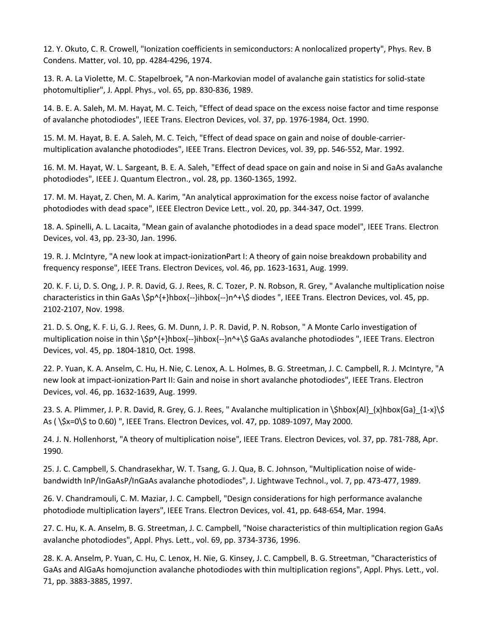12. Y. Okuto, C. R. Crowell, "Ionization coefficients in semiconductors: A nonlocalized property", Phys. Rev. B Condens. Matter, vol. 10, pp. 4284-4296, 1974.

13. R. A. La Violette, M. C. Stapelbroek, "A non-Markovian model of avalanche gain statistics for solid-state photomultiplier", J. Appl. Phys., vol. 65, pp. 830-836, 1989.

14. B. E. A. Saleh, M. M. Hayat, M. C. Teich, "Effect of dead space on the excess noise factor and time response of avalanche photodiodes", IEEE Trans. Electron Devices, vol. 37, pp. 1976-1984, Oct. 1990.

15. M. M. Hayat, B. E. A. Saleh, M. C. Teich, "Effect of dead space on gain and noise of double-carriermultiplication avalanche photodiodes", IEEE Trans. Electron Devices, vol. 39, pp. 546-552, Mar. 1992.

16. M. M. Hayat, W. L. Sargeant, B. E. A. Saleh, "Effect of dead space on gain and noise in Si and GaAs avalanche photodiodes", IEEE J. Quantum Electron., vol. 28, pp. 1360-1365, 1992.

17. M. M. Hayat, Z. Chen, M. A. Karim, "An analytical approximation for the excess noise factor of avalanche photodiodes with dead space", IEEE Electron Device Lett., vol. 20, pp. 344-347, Oct. 1999.

18. A. Spinelli, A. L. Lacaita, "Mean gain of avalanche photodiodes in a dead space model", IEEE Trans. Electron Devices, vol. 43, pp. 23-30, Jan. 1996.

19. R. J. McIntyre, "A new look at impact-ionization̵Part I: A theory of gain noise breakdown probability and frequency response", IEEE Trans. Electron Devices, vol. 46, pp. 1623-1631, Aug. 1999.

20. K. F. Li, D. S. Ong, J. P. R. David, G. J. Rees, R. C. Tozer, P. N. Robson, R. Grey, " Avalanche multiplication noise characteristics in thin GaAs \\$p^{+}hbox{--}ihbox{--}n^+\\$ diodes ", IEEE Trans. Electron Devices, vol. 45, pp. 2102-2107, Nov. 1998.

21. D. S. Ong, K. F. Li, G. J. Rees, G. M. Dunn, J. P. R. David, P. N. Robson, " A Monte Carlo investigation of multiplication noise in thin \\$p^{+}hbox{--}ihbox{--}n^+\\$ GaAs avalanche photodiodes ", IEEE Trans. Electron Devices, vol. 45, pp. 1804-1810, Oct. 1998.

22. P. Yuan, K. A. Anselm, C. Hu, H. Nie, C. Lenox, A. L. Holmes, B. G. Streetman, J. C. Campbell, R. J. McIntyre, "A new look at impact-ionization̵Part II: Gain and noise in short avalanche photodiodes", IEEE Trans. Electron Devices, vol. 46, pp. 1632-1639, Aug. 1999.

23. S. A. Plimmer, J. P. R. David, R. Grey, G. J. Rees, " Avalanche multiplication in  $\Shbox{A]}_{xh}$  {x}hbox{Ga} {1-x}\\$ As ( \\$x=0\\$ to 0.60) ", IEEE Trans. Electron Devices, vol. 47, pp. 1089-1097, May 2000.

24. J. N. Hollenhorst, "A theory of multiplication noise", IEEE Trans. Electron Devices, vol. 37, pp. 781-788, Apr. 1990.

25. J. C. Campbell, S. Chandrasekhar, W. T. Tsang, G. J. Qua, B. C. Johnson, "Multiplication noise of widebandwidth InP/InGaAsP/InGaAs avalanche photodiodes", J. Lightwave Technol., vol. 7, pp. 473-477, 1989.

26. V. Chandramouli, C. M. Maziar, J. C. Campbell, "Design considerations for high performance avalanche photodiode multiplication layers", IEEE Trans. Electron Devices, vol. 41, pp. 648-654, Mar. 1994.

27. C. Hu, K. A. Anselm, B. G. Streetman, J. C. Campbell, "Noise characteristics of thin multiplication region GaAs avalanche photodiodes", Appl. Phys. Lett., vol. 69, pp. 3734-3736, 1996.

28. K. A. Anselm, P. Yuan, C. Hu, C. Lenox, H. Nie, G. Kinsey, J. C. Campbell, B. G. Streetman, "Characteristics of GaAs and AlGaAs homojunction avalanche photodiodes with thin multiplication regions", Appl. Phys. Lett., vol. 71, pp. 3883-3885, 1997.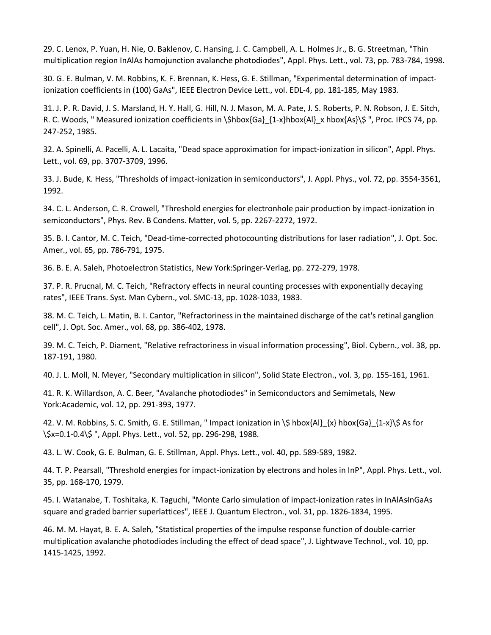29. C. Lenox, P. Yuan, H. Nie, O. Baklenov, C. Hansing, J. C. Campbell, A. L. Holmes Jr., B. G. Streetman, "Thin multiplication region InAlAs homojunction avalanche photodiodes", Appl. Phys. Lett., vol. 73, pp. 783-784, 1998.

30. G. E. Bulman, V. M. Robbins, K. F. Brennan, K. Hess, G. E. Stillman, "Experimental determination of impactionization coefficients in (100) GaAs", IEEE Electron Device Lett., vol. EDL-4, pp. 181-185, May 1983.

31. J. P. R. David, J. S. Marsland, H. Y. Hall, G. Hill, N. J. Mason, M. A. Pate, J. S. Roberts, P. N. Robson, J. E. Sitch, R. C. Woods, " Measured ionization coefficients in \\$hbox{Ga}\_{1-x}hbox{Al}\_x hbox{As}\\$ ", Proc. IPCS 74, pp. 247-252, 1985.

32. A. Spinelli, A. Pacelli, A. L. Lacaita, "Dead space approximation for impact-ionization in silicon", Appl. Phys. Lett., vol. 69, pp. 3707-3709, 1996.

33. J. Bude, K. Hess, "Thresholds of impact-ionization in semiconductors", J. Appl. Phys., vol. 72, pp. 3554-3561, 1992.

34. C. L. Anderson, C. R. Crowell, "Threshold energies for electronhole pair production by impact-ionization in semiconductors", Phys. Rev. B Condens. Matter, vol. 5, pp. 2267-2272, 1972.

35. B. I. Cantor, M. C. Teich, "Dead-time-corrected photocounting distributions for laser radiation", J. Opt. Soc. Amer., vol. 65, pp. 786-791, 1975.

36. B. E. A. Saleh, Photoelectron Statistics, New York:Springer-Verlag, pp. 272-279, 1978.

37. P. R. Prucnal, M. C. Teich, "Refractory effects in neural counting processes with exponentially decaying rates", IEEE Trans. Syst. Man Cybern., vol. SMC-13, pp. 1028-1033, 1983.

38. M. C. Teich, L. Matin, B. I. Cantor, "Refractoriness in the maintained discharge of the cat's retinal ganglion cell", J. Opt. Soc. Amer., vol. 68, pp. 386-402, 1978.

39. M. C. Teich, P. Diament, "Relative refractoriness in visual information processing", Biol. Cybern., vol. 38, pp. 187-191, 1980.

40. J. L. Moll, N. Meyer, "Secondary multiplication in silicon", Solid State Electron., vol. 3, pp. 155-161, 1961.

41. R. K. Willardson, A. C. Beer, "Avalanche photodiodes" in Semiconductors and Semimetals, New York:Academic, vol. 12, pp. 291-393, 1977.

42. V. M. Robbins, S. C. Smith, G. E. Stillman, " Impact ionization in \\$ hbox{Al}\_{x} hbox{Ga}\_{1-x}\\$ As for \\$x=0.1-0.4\\$ ", Appl. Phys. Lett., vol. 52, pp. 296-298, 1988.

43. L. W. Cook, G. E. Bulman, G. E. Stillman, Appl. Phys. Lett., vol. 40, pp. 589-589, 1982.

44. T. P. Pearsall, "Threshold energies for impact-ionization by electrons and holes in InP", Appl. Phys. Lett., vol. 35, pp. 168-170, 1979.

45. I. Watanabe, T. Toshitaka, K. Taguchi, "Monte Carlo simulation of impact-ionization rates in InAlAsInGaAs square and graded barrier superlattices", IEEE J. Quantum Electron., vol. 31, pp. 1826-1834, 1995.

46. M. M. Hayat, B. E. A. Saleh, "Statistical properties of the impulse response function of double-carrier multiplication avalanche photodiodes including the effect of dead space", J. Lightwave Technol., vol. 10, pp. 1415-1425, 1992.